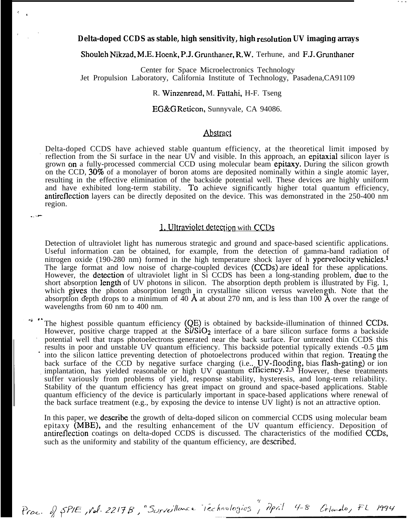## Delta-doped CCDS as stable, high sensitivity, high resolution UV imaging arrays

. . .

#### Shouleh Nikzad, M.E. Hoenk, P.J. Grunthaner, R.W. Terhune, and F.J. Grunthaner

Center for Space Microelectronics Technology Jet Propulsion Laboratory, California Institute of Technology, Pasadena,CA91109

#### R. Winzenread, M. Fattahi, H-F. Tseng

EG&G Reticon, Sunnyvale, CA 94086.

# Abstract

Delta-doped CCDS have achieved stable quantum efficiency, at the theoretical limit imposed by reflection from the Si surface in the near UV and visible. In this approach, an epitaxial silicon layer is grown on a fully-processed commercial CCD using molecular beam epitaxy. During the silicon growth on the CCD, 30% of a monolayer of boron atoms are deposited nominally within a single atomic layer, resulting in the effective elimination of the backside potential well. These devices are highly uniform and have exhibited long-term stability. To achieve significantly higher total quantum efficiency, antireflcction layers can be directly deposited on the device. This was demonstrated in the 250-400 nm region. d stable quantum efficiency, at<br>the near UV and visible. In this app<br>ercial CCD using molecular beam<br>of boron atoms are deposited nom<br>on of the backside potential well.<br>ability. To achieve significantly<br>y deposited on the

Detection of ultraviolet light has numerous strategic and ground and space-based scientific applications. Useful information can be obtained, for example, from the detection of gamma-band radiation of nitrogen oxide (190-280 nm) formed in the high temperature shock layer of h ypervelocity vehicles.1 The large format and low noise of charge-coupled devices (CCDS) are ideal for these applications. However, the detection of ultraviolet light in Si CCDS has been a long-standing problem, due to the short absorption length of UV photons in silicon. The absorption depth problem is illustrated by Fig. 1, which gives the photon absorption length in crystalline silicon versus wavelength. Note that the absorption depth drops to a minimum of  $40 \text{ Å}$  at about 270 nm, and is less than 100  $\text{Å}$  over the range of wavelengths from 60 nm to 400 nm.

The highest possible quantum efficiency (QE) is obtained by backside-illumination of thinned CCDS. However, positive charge trapped at the  $Si/SiO<sub>2</sub>$  interface of a bare silicon surface forms a backside potential well that traps photoelectrons generated near the back surface. For untreated thin CCDS this results in poor and unstable UV quantum efficiency. This backside potential typically extends -0.5  $\mu$ m into the silicon lattice preventing detection of photoelectrons produced within that region. Treating the back surface of the CCD by negative surface charging (i.e., UV-flooding, bias flash-gating) or ion implantation, has yielded reasonable or high UV quantum efficiency.<sup>2,3</sup> However, these treatments suffer variously from problems of yield, response stability, hysteresis, and long-term reliability. Stability of the quantum efficiency has great impact on ground and space-based applications. Stable quantum efficiency of the device is particularly important in space-based applications where renewal of the back surface treatment (e.g., by exposing the device to intense UV light) is not an attractive option.

In this paper, we describe the growth of delta-doped silicon on commercial CCDS using molecular beam epitaxy (MBE), and the resulting enhancement of the UV quantum efficiency. Deposition of antireflection coatings on delta-doped CCDS is discussed. The characteristics of the modified CCDs, such as the uniformity and stability of the quantum efficiency, are described.

Proc. of SPIE, Vol. 2217B, "Surveillonce iechnologies", April 4-8 Crlando, FL 1994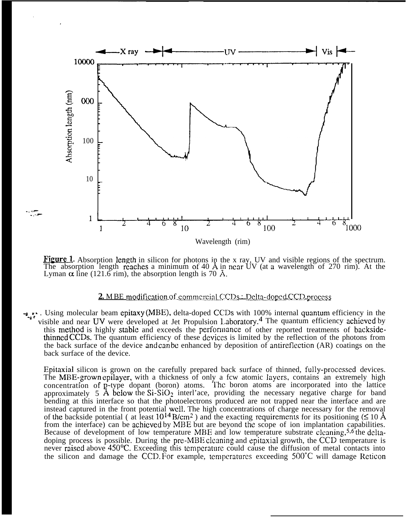

Figure 1. Absorption length in silicon for photons in the x ray, UV and visible regions of the spectrum. The absorption length reaches a minimum of  $40 \text{ Å}$  in near UV (at a wavelength of  $270 \text{ rim}$ ). At the Lyman  $\alpha$  line (121.6 rim), the absorption length is 70 Å.

## **2.** MBE modification of commercial CCDs : Delta-doped CCD process

-j.r. Using molecular beam epitaxy (MBE), delta-doped CCDs with 100% internal quantum efficiency in the visible and near UV were developed at Jet Propulsion Laboratory.<sup>4</sup> The quantum efficiency achieved by this method is highly stable and exceeds the performance of other reported treatments of backsidethinncd CCDS. The quantum efficiency of these dcviccs is limited by the reflection of the photons from the back surface of the device and can bc enhanced by deposition of antireflcction (AR) coatings on the back surface of the device.

Epitaxial silicon is grown on the carefully prepared back surface of thinned, fully-proccsscd devices. The MBE-grown epilayer, with a thickness of only a fcw atomic layers, contains an extremely high concentration of p-type dopant (boron) atoms. The boron atoms are incorporated into the lattice approximately  $5 \text{ Å}$  below the  $SiO_2$  interl'ace, providing the necessary negative charge for band bending at this interface so that the photoelectrons produced are not trapped near the interface and are instead captured in the front potential well. The high concentrations of charge necessary for the removal of the backside potential ( at least  $10^{14}$  B/cm<sup>2</sup>) and the exacting requirements for its positioning ( $\leq 10$  Å from the interface) can be achieved by MBE but are beyond the scope of ion implantation capabilities. Because of development of low temperature MBE and low temperature substrate cleaning,<sup>5,6</sup> the deltadoping process is possible. During the pre-MBE cleaning and epitaxial growth, the CCD temperature is never raised above 450°C. Exceeding this temperature could cause the diffusion of metal contacts into the silicon and damage the CCD. For example, temperatures exceeding 500°C will damage Reticon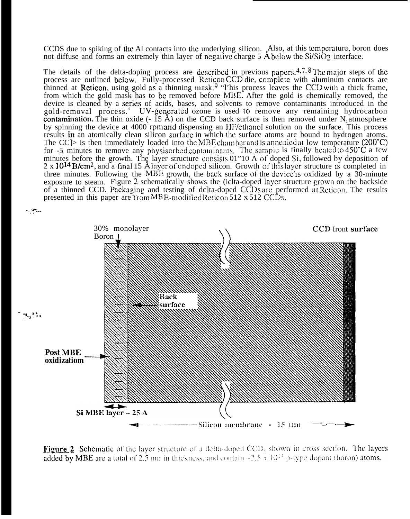CCDS due to spiking of the Al contacts into the underlying silicon. Also, at this temperature, boron does not diffuse and forms an extremely thin layer of negative charge 5  $\AA$  below the Si/SiO? interface.

The details of the delta-doping process are described in previous papers.<sup>4,7,8</sup> The major steps of the process are outlined below. Fully-processed Reticon CCD die, complete with aluminum contacts are thinned at Reticon, using gold as a thinning mask.<sup>9</sup> "l'his process leaves the CCD with a thick frame, from which the gold mask has to bc removed before MBE. After the gold is chemically removed, the device is cleaned by a series of acids, bases, and solvents to remove contaminants introduced in the gold-removal process.<sup>4</sup> UV-generated ozone is used to remove any remaining hydrocarbon contamination. The thin oxide  $(-15 \text{ Å})$  on the CCD back surface is then removed under N<sub>2</sub> atmosphere by spinning the device at 4000 rpm and dispensing an HF/ethanol solution on the surface. This process results in an atomically clean silicon surface in which the surface atoms arc bound to hydrogen atoms. The CC $\ge$  is then immediately loaded into the MBE chamber and is annealed at low temperature (200°C) for -5 minutes to remove any physisorbed contaminants. The sample is finally heated to 450°C a fcw minutes before the growth. The layer structure consists  $01"10$  Å of doped Si, followed by deposition of  $2 \times 10^{14}$  B/cm<sup>2</sup>, and a final 15 Å layer of undoped silicon. Growth of this layer structure is completed in three minutes. Following the MBE growth, the back surface of the device is oxidized by a  $30$ -minute exposure to steam. Figure 2 schematically shows the (iclta-doped layer structure grown on the backside of a thinned CCD. Packaging and testing of dc]ta-doped CCDs are performed at Reticon. The results presented in this paper are  $\text{Trom} \text{MBE-modified Reticon}} 512 \times 512 \text{ CCDs}$ .



Figure 2 Schematic of the layer structure of a delta-doped CCD, shown in cross section. The layers added by MBE are a total of 2.5 nm in thickness, and contain  $\approx 2.5 \times 10^{14}$  p-type dopant (boron) atoms.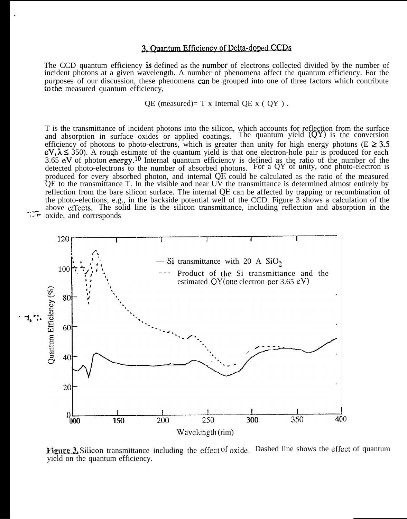# 3. Ouantum Efficiency of Delta-doped CCDs

. .

. . ..- . . ..? The CCD quantum efficiency is defined as the number of electrons collected divided by the number of incident photons at a given wavelength. A number of phenomena affect the quantum efficiency. For the purposes of our discussion, these phenomena can be grouped into one of three factors which contribute to the measured quantum efficiency,

OE (measured)=  $T \times$  Internal OE  $x \in OY$ ).

T is the transmittance of incident photons into the silicon, which accounts for reflection from the surface and absorption in surface oxides or applied coatings. The quantum yield (QY) is the conversion and absorption in surface oxides or applied coatings. The quantum yield (QY) is the conversion efficiency of photons to photo-electrons, which is greater than unity for high energy photons (E  $\geq 3.5$ )  $eV, \lambda \leq 350$ . A rough estimate of the quantum yield is that one electron-hole pair is produced for each 3.65 eV of photon energy.<sup>10</sup> Internal quantum efficiency is defined as the ratio of the number of the detected photo-electrons to the number of absorbed photons. For a QY of unity, one photo-electron is produced for every absorbed photon, and internal QE could be calculated as the ratio of the measured QE to the transmittance T. In the visible and near UV the transmittance is determined almost entirely by reflection from the bare silicon surface. The internal QE can be affected by trapping or recombination of the photo-elections, e.g., in the backside potential well of the CCD. Figure 3 shows a calculation of the above effects. The solid line is the silicon transmittance, including reflection and absorption in the oxide, and corresponds



Figure 3. Silicon transmittance including the effect of oxide. Dashed line shows the effect of quantum yield on the quantum efficiency.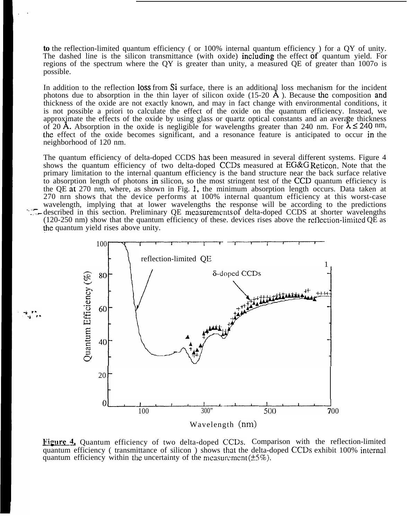**to** the reflection-limited quantum efficiency ( or 100% internal quantum efficiency ) for a QY of unity. The dashed line is the silicon transmittance (with oxide) including the effect of quantum yield. For regions of the spectrum where the QY is greater than unity, a measured QE of greater than 1007o is possible.

In addition to the reflection loss from Si surface, there is an additional loss mechanism for the incident photons due to absorption in the thin layer of silicon oxide  $(15{\text -}20 \text{ A})$ . Because the composition and thickness of the oxide are not exactly known, and may in fact change with environmental conditions, it is not possible a priori to calculate the effect of the oxide on the quantum efficiency. Instead, we approximate the effects of the oxide by using glass or quartz optical constants and an average thickness of 20 Å. Absorption in the oxide is negligible for wavelengths greater than 240 nm. For  $\lambda \le 240$  nm, the effect of the oxide becomes significant, and a resonance feature is anticipated to occur in the neighborhood of 120 nm.

The quantum efficiency of delta-doped CCDS has been measured in several different systems. Figure 4 shows the quantum efficiency of two delta-doped CCDS measured at EG&G Reticon. Note that the primary limitation to the internal quantum efficiency is the band structure near the back surface relative to absorption length of photons in silicon, so the most stringent test of the CCD quantum efficiency is the QE at 270 nm, where, as shown in Fig. 1, the minimum absorption length occurs. Data taken at 270 nrn shows that the device performs at 100% internal quantum efficiency at this worst-case wavelength, implying that at lower wavelengths the response will be according to the predictions described in this section. Preliminary QE measurements of delta-doped CCDS at shorter wavelengths (120-250 nm) show that the quantum efficiency of these. devices rises above the rcilcction-limited QE as at lower wavelengths the response will be according<br>eliminary QE measurements of delta-doped CCDS at s<br>quantum efficiency of these, devices rises above the refle<br>e unity.



Figure 4. Quantum efficiency of two delta-doped CCDs. Comparison with the reflection-limited quantum efficiency ( transmittance of silicon ) shows that the delta-doped CCDS exhibit 100% intcrrml quantum efficiency within the uncertainty of the measurement  $(\pm 5\%)$ .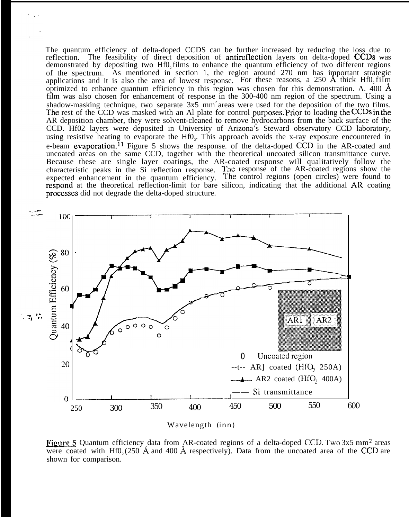The quantum efficiency of delta-doped CCDS can be further increased by reducing the loss due to reflection. The feasibility of direct deposition of antireflection layers on delta-doped CCDS was demonstrated by depositing two Hf0, films to enhance the quantum efficiency of two different regions of the spectrum. As mentioned in section 1, the region around 270 nm has important strategic applications and it is also the area of lowest response. For these reasons, a 250  $\mathbf{A}$  thick Hf0, film optimized to enhance quantum efficiency in this region was chosen for this demonstration. A. 400  $\AA$ film was also chosen for enhancement of response in the 300-400 nm region of the spectrum. Using a shadow-masking technique, two separate  $3x5$  mm<sup>2</sup> areas were used for the deposition of the two films. The rest of the  $\overline{CCD}$  was masked with an Al plate for control purposes. Prior to loading the CCDs in the AR deposition chamber, they were solvent-cleaned to remove hydrocarbons from the back surface of the CCD. Hf02 layers were deposited in University of Arizona's Steward observatory CCD laboratory, using resistive heating to evaporate the  $Hf0<sub>2</sub>$ . This approach avoids the x-ray exposure encountered in e-beam evaporation.<sup>11</sup> Figure 5 shows the response. of the delta-doped CCD in the AR-coated and uncoated areas on the same CCD, together with the theoretical uncoated silicon transmittance curve. Because these are single layer coatings, the AR-coated response will qualitatively follow the characteristic peaks in the Si reflection response. The response of the AR-coated regions show the expected enhancement in the quantum efficiency. The control regions (open circles) were found to respond at the theoretical reflection-limit for bare silicon, indicating that the additional AR coating processes did not degrade the delta-doped structure.



Wavelength (inn)

Figure 5 Quantum efficiency data from AR-coated regions of a delta-doped CCD. Two 3x5 mm<sup>2</sup> areas were coated with Hf0.  $(250 \text{ Å}$  and 400 Å respectively). Data from the uncoated area of the CCD are shown for comparison.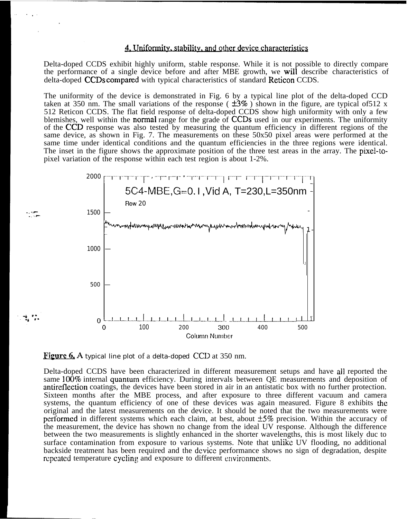### 4. Uniformity, stability, and other device characteristics

Delta-doped CCDS exhibit highly uniform, stable response. While it is not possible to directly compare the performance of a single device before and after MBE growth, we will describe characteristics of delta-doped **CCDs compared** with typical characteristics of standard Reticon CCDS.

The uniformity of the device is demonstrated in Fig. 6 by a typical line plot of the delta-doped CCD taken at 350 nm. The small variations of the response ( $\pm 3\%$ ) shown in the figure, are typical of 512 x 512 Reticon CCDS. The flat field response of delta-doped CCDS show high uniformity with only a few blemishes, well within the normal range for the grade of CCDS used in our experiments. The uniformity of the CCD response was also tested by measuring the quantum efficiency in different regions of the same device, as shown in Fig. 7. The measurements on these 50x50 pixel areas were performed at the same time under identical conditions and the quantum efficiencies in the three regions were identical. The inset in the figure shows the approximate position of the three test areas in the array. The pixel-topixel variation of the response within each test region is about 1-2%.



Figure  $6.$  A typical line plot of a delta-doped CCD at 350 nm.

Delta-doped CCDS have been characterized in different measurement setups and have all reported the same 100% internal quantum efficiency. During intervals between QE measurements and deposition of antireflection coatings, the devices have been stored in air in an antistatic box with no further protection. Sixteen months after the MBE process, and after exposure to three different vacuum and camera systems, the quantum efficiency of one of these devices was again measured. Figure 8 exhibits the original and the latest measurements on the device. It should be noted that the two measurements were performed in different systems which each claim, at best, about  $\pm 5\%$  precision. Within the accuracy of the measurement, the device has shown no change from the ideal UV response. Although the difference between the two measurements is slightly enhanced in the shorter wavelengths, this is most likely duc to surface contamination from exposure to various systems. Note that unlike UV flooding, no additional backside treatment has been required and the dcvicc performance shows no sign of degradation, despite repeated temperature cycling and exposure to different environments.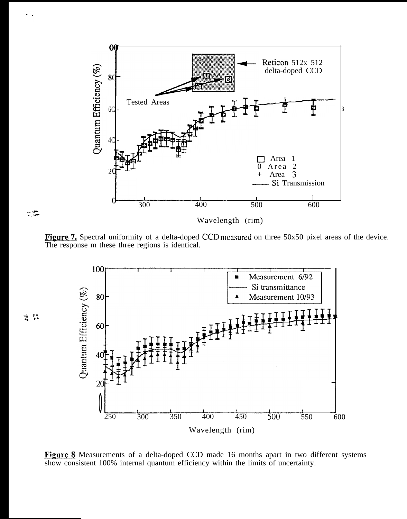

Figure 7. Spectral uniformity of a delta-doped CCD measured on three 50x50 pixel areas of the device. The response m these three regions is identical.

- ., P- . . -.?-

 $\vec{z}_i$   $\vec{z}_i$ 



Figure § Measurements of a delta-doped CCD made 16 months apart in two different systems show consistent 100% internal quantum efficiency within the limits of uncertainty.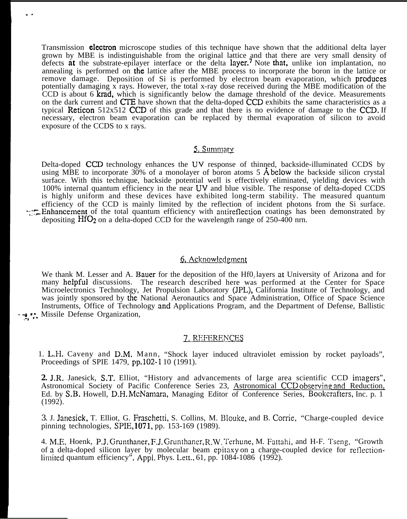Transmission **electron** microscope studies of this technique have shown that the additional delta layer grown by MBE is indistinguishable from the original lattice and that there are very small density of defects at the substrate-epilayer interface or the delta layer.<sup>7</sup> Note that, unlike ion implantation, no annealing is performed on the lattice after the MBE process to incorporate the boron in the lattice or remove damage. Deposition of Si is performed by electron beam evaporation, which produces potentially damaging x rays. However, the total x-ray dose received during the MBE modification of the CCD is about 6 krad, which is significantly below the damage threshold of the device. Measurements on the dark current and CTE have shown that the delta-doped CCD exhibits the same characteristics as a typical Reticon 512x512 CCD of this grade and that there is no evidence of damage to the CCD. If necessary, electron beam evaporation can be replaced by thermal evaporation of silicon to avoid exposure of the CCDS to x rays.

. .

# 5. Summary

Delta-doped CCD technology enhances the UV response of thinned, backside-illuminated CCDS by using MBE to incorporate  $30\%$  of a monolayer of boron atoms 5 Å below the backside silicon crystal surface. With this technique, backside potential well is effectively eliminated, yielding devices with 100% internal quantum efficiency in the near UV and blue visible. The response of delta-doped CCDS is highly uniform and these devices have exhibited long-term stability. The measured quantum efficiency of the CCD is mainly limited by the reflection of incident photons from the Si surface. -=~TpEnhancement of the total quantum efficiency with antireflection coatings has been demonstrated by depositing HfO<sub>2</sub> on a delta-doped CCD for the wavelength range of 250-400 nrn.

### 6. Acknowledgment

We thank M. Lesser and A. Bauer for the deposition of the Hf0, layers at University of Arizona and for many helpful discussions. The research described here was performed at the Center for Space Microelectronics Technology, Jet Propulsion Laboratory (JPL), California Institute of Technology, and was jointly sponsored by the National Aeronautics and Space Administration, Office of Space Science Instruments, Office of Technology and Applications Program, and the Department of Defense, Ballistic -  $\rightarrow$   $\rightarrow$  Missile Defense Organization,

## 7, REFERENCES

1. L.H. Caveny and D.M. Mann, "Shock layer induced ultraviolet emission by rocket payloads", Proceedings of SPIE 1479, pp.102-l 10 (1991).

**2.** J.R. Janesick, S.T. Elliot, "History and advancements of large area scientific CCD imagers", Astronomical Society of Pacific Conference Series 23, Astronomical CCD observing and Reduction, Ed. by S.B. Howell, D.H. McNamara, Managing Editor of Conference Series, Bookcrafters, Inc. p. 1 (1992).

3. J. Janesick, T. Elliot, G. Fraschetti, S. Collins, M. Blouke, and B. Corrie, "Charge-coupled device pinning technologies, SPIE, 1071, pp. 153-169 (1989).

4. M.E. Hoenk, P.J. Grunthaner, F.J. Grunthaner, R.W. Terhune, M. Fattahi, and H-F. Tseng, "Growth of a delta-doped silicon layer by molecular beam epitaxy on a charge-coupled device for reflection limited quantum efficiency", Appl. Phys. Lett.,  $61$ , pp.  $1084-1086$  (1992).